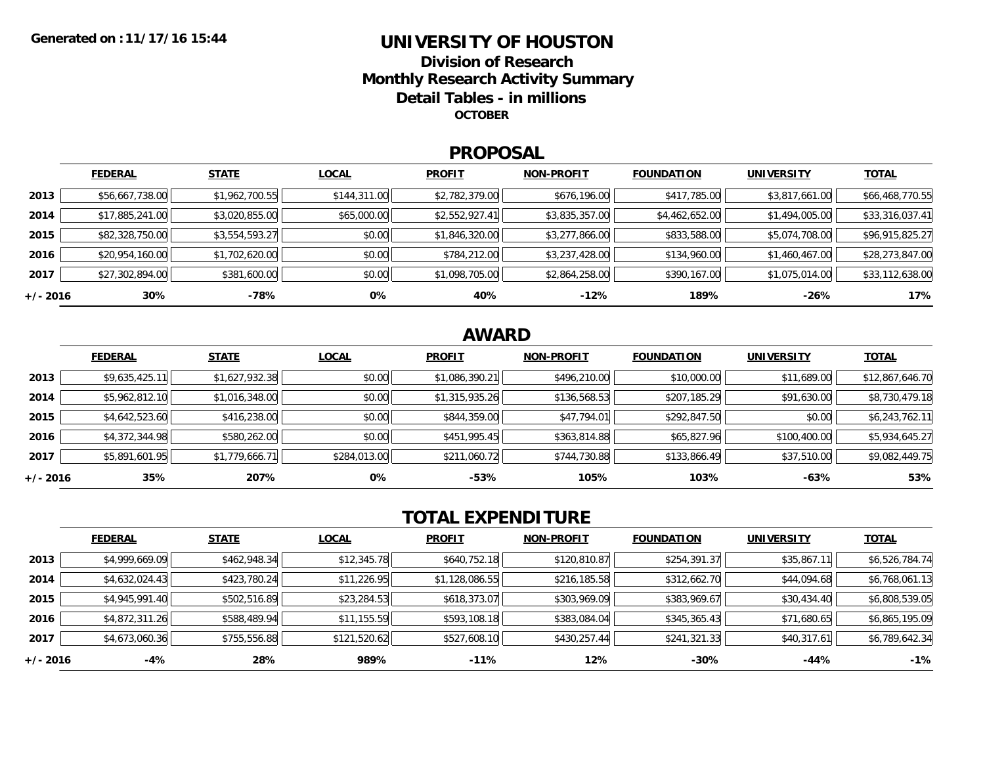## **UNIVERSITY OF HOUSTONDivision of ResearchMonthly Research Activity Summary Detail Tables - in millions OCTOBER**

### **PROPOSAL**

|            | <b>FEDERAL</b>  | <b>STATE</b>   | <b>LOCAL</b> | <b>PROFIT</b>  | <b>NON-PROFIT</b> | <b>FOUNDATION</b> | <b>UNIVERSITY</b> | <b>TOTAL</b>    |
|------------|-----------------|----------------|--------------|----------------|-------------------|-------------------|-------------------|-----------------|
| 2013       | \$56,667,738.00 | \$1,962,700.55 | \$144,311.00 | \$2,782,379.00 | \$676,196.00      | \$417,785.00      | \$3,817,661.00    | \$66,468,770.55 |
| 2014       | \$17,885,241.00 | \$3,020,855.00 | \$65,000.00  | \$2,552,927.41 | \$3,835,357.00    | \$4,462,652.00    | \$1,494,005.00    | \$33,316,037.41 |
| 2015       | \$82,328,750.00 | \$3,554,593.27 | \$0.00       | \$1,846,320.00 | \$3,277,866.00    | \$833,588.00      | \$5,074,708.00    | \$96,915,825.27 |
| 2016       | \$20,954,160.00 | \$1,702,620.00 | \$0.00       | \$784,212.00   | \$3,237,428.00    | \$134,960.00      | \$1,460,467.00    | \$28,273,847.00 |
| 2017       | \$27,302,894.00 | \$381,600.00   | \$0.00       | \$1,098,705.00 | \$2,864,258.00    | \$390,167.00      | \$1,075,014.00    | \$33,112,638.00 |
| $+/- 2016$ | 30%             | -78%           | 0%           | 40%            | $-12%$            | 189%              | $-26%$            | 17%             |

# **AWARD**

|          | <b>FEDERAL</b> | <b>STATE</b>   | <b>LOCAL</b> | <b>PROFIT</b>  | <b>NON-PROFIT</b> | <b>FOUNDATION</b> | <b>UNIVERSITY</b> | <b>TOTAL</b>    |
|----------|----------------|----------------|--------------|----------------|-------------------|-------------------|-------------------|-----------------|
| 2013     | \$9,635,425.11 | \$1,627,932.38 | \$0.00       | \$1,086,390.21 | \$496,210.00      | \$10,000.00       | \$11,689.00       | \$12,867,646.70 |
| 2014     | \$5,962,812.10 | \$1,016,348.00 | \$0.00       | \$1,315,935.26 | \$136,568.53      | \$207,185.29      | \$91,630.00       | \$8,730,479.18  |
| 2015     | \$4,642,523.60 | \$416,238.00   | \$0.00       | \$844,359.00   | \$47,794.01       | \$292,847.50      | \$0.00            | \$6,243,762.11  |
| 2016     | \$4,372,344.98 | \$580,262.00   | \$0.00       | \$451,995.45   | \$363,814.88      | \$65,827.96       | \$100,400.00      | \$5,934,645.27  |
| 2017     | \$5,891,601.95 | \$1,779,666.71 | \$284,013.00 | \$211,060.72   | \$744,730.88      | \$133,866.49      | \$37,510.00       | \$9,082,449.75  |
| +/- 2016 | 35%            | 207%           | 0%           | $-53%$         | 105%              | 103%              | $-63%$            | 53%             |

# **TOTAL EXPENDITURE**

|          | <b>FEDERAL</b> | <b>STATE</b> | <b>LOCAL</b> | <b>PROFIT</b>  | <b>NON-PROFIT</b> | <b>FOUNDATION</b> | <b>UNIVERSITY</b> | <b>TOTAL</b>   |
|----------|----------------|--------------|--------------|----------------|-------------------|-------------------|-------------------|----------------|
| 2013     | \$4,999,669.09 | \$462,948.34 | \$12,345.78  | \$640,752.18   | \$120,810.87      | \$254,391.37      | \$35,867.11       | \$6,526,784.74 |
| 2014     | \$4,632,024.43 | \$423,780.24 | \$11,226.95  | \$1,128,086.55 | \$216,185.58      | \$312,662.70      | \$44,094.68       | \$6,768,061.13 |
| 2015     | \$4,945,991.40 | \$502,516.89 | \$23,284.53  | \$618,373.07   | \$303,969.09      | \$383,969.67      | \$30,434.40       | \$6,808,539.05 |
| 2016     | \$4,872,311.26 | \$588,489.94 | \$11,155.59  | \$593,108.18   | \$383,084.04      | \$345,365.43      | \$71,680.65       | \$6,865,195.09 |
| 2017     | \$4,673,060.36 | \$755,556.88 | \$121,520.62 | \$527,608.10   | \$430,257.44      | \$241,321.33      | \$40,317.61       | \$6,789,642.34 |
| +/- 2016 | $-4%$          | 28%          | 989%         | $-11\%$        | 12%               | $-30%$            | -44%              | $-1%$          |